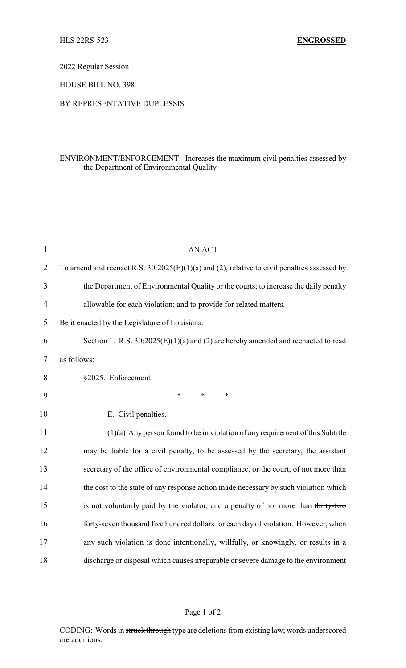2022 Regular Session

HOUSE BILL NO. 398

## BY REPRESENTATIVE DUPLESSIS

## ENVIRONMENT/ENFORCEMENT: Increases the maximum civil penalties assessed by the Department of Environmental Quality

| $\mathbf{1}$   | AN ACT                                                                                        |
|----------------|-----------------------------------------------------------------------------------------------|
| $\overline{2}$ | To amend and reenact R.S. $30:2025(E)(1)(a)$ and (2), relative to civil penalties assessed by |
| 3              | the Department of Environmental Quality or the courts; to increase the daily penalty          |
| $\overline{4}$ | allowable for each violation; and to provide for related matters.                             |
| 5              | Be it enacted by the Legislature of Louisiana:                                                |
| 6              | Section 1. R.S. $30:2025(E)(1)(a)$ and (2) are hereby amended and reenacted to read           |
| 7              | as follows:                                                                                   |
| 8              | §2025. Enforcement                                                                            |
| 9              | $\ast$<br>$\ast$<br>*                                                                         |
| 10             | E. Civil penalties.                                                                           |
| 11             | $(1)(a)$ Any person found to be in violation of any requirement of this Subtitle              |
| 12             | may be liable for a civil penalty, to be assessed by the secretary, the assistant             |
| 13             | secretary of the office of environmental compliance, or the court, of not more than           |
| 14             | the cost to the state of any response action made necessary by such violation which           |
| 15             | is not voluntarily paid by the violator, and a penalty of not more than thirty-two            |
| 16             | forty-seven thousand five hundred dollars for each day of violation. However, when            |
| 17             | any such violation is done intentionally, willfully, or knowingly, or results in a            |
| 18             | discharge or disposal which causes irreparable or severe damage to the environment            |